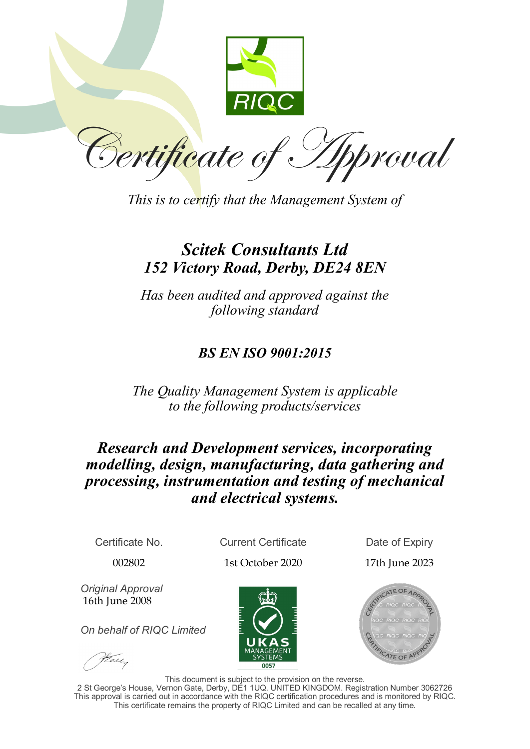

Certificate of Approval

*This is to certify that the Management System of* 

## *Scitek Consultants Ltd 152 Victory Road, Derby, DE24 8EN*

*Has been audited and approved against the following standard*

## *BS EN ISO 9001:2015*

*The Quality Management System is applicable to the following products/services*

## *Research and Development services, incorporating modelling, design, manufacturing, data gathering and processing, instrumentation and testing of mechanical and electrical systems.*

002802 1st October 2020 17th June 2023

*Original Approval* 16th June 2008

*On behalf of RIQC Limited*



Certificate No. Current Certificate Date of Expiry



This document is subject to the provision on the reverse.

2 St George's House, Vernon Gate, Derby, DE1 1UQ. UNITED KINGDOM. Registration Number 3062726 This approval is carried out in accordance with the RIQC certification procedures and is monitored by RIQC. This certificate remains the property of RIQC Limited and can be recalled at any time.